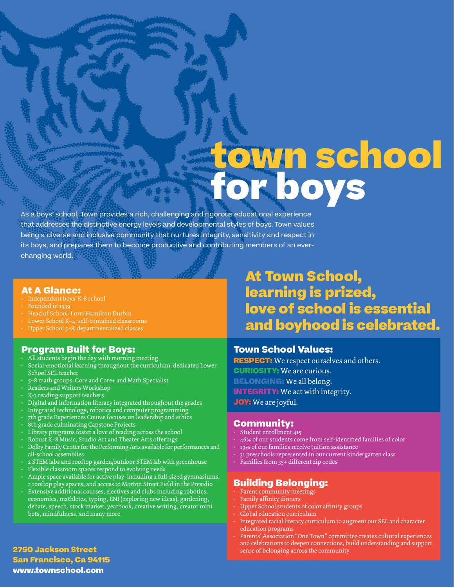# **town school for boys**

As a boys' school, Town provides a rich, challenging and rigorous educational experience that addresses the distinctive energy levels and developmental styles of boys. Town values being a diverse and inclusive community that nurtures integrity, sensitivity and respect in its boys, and prepares them to become productive and contributing members of an everchanging world.

#### **At A Glance:**

- Independent boys' K-8 school
- Founded in 1939
- Head of School: Lorri Hamilton Durbin
- Lower School K–4: self-contained classrooms
- Upper School 5–8: departmentalized classes

#### **Program Built for Boys:**

- All students begin the day with morning meeting
- Social-emotional learning throughout the curriculum; dedicated Lower School SEL teacher
- 5–8 math groups: Core and Core+ and Math Specialist
- Readers and Writers Workshop
- K-3 reading support teachers
- Digital and information literacy integrated throughout the grades
- Integrated technology, robotics and computer programming
- 7th grade Experiences Course focuses on leadership and ethics
- 8th grade culminating Capstone Projects
- Library programs foster a love of reading across the school
- Robust K–8 Music, Studio Art and Theater Arts offerings
- Dolby Family Center for the Performing Arts available for performances and all-school assemblies
- 2 STEM labs and rooftop garden/outdoor STEM lab with greenhouse
- Flexible classroom spaces respond to evolving needs
- Ample space available for active play: including 2 full-sized gymnasiums, 2 rooftop play spaces, and access to Morton Street Field in the Presidio
- Extensive additional courses, electives and clubs including robotics, economics, mathletes, typing, ENI (exploring new ideas), gardening, debate, speech, stock market, yearbook, creative writing, creator mini bots, mindfulness, and many more

# **At Town School, learning is prized, love of school is essential and boyhood is celebrated.**

#### **Town School Values:**

**RESPECT:** We respect ourselves and others. **CURIOSITY:** We are curious. **BELONGING:** We all belong. **INTEGRITY:** We act with integrity. **JOY:** We are joyful.

#### **Community:**

- Student enrollment 415
- 46% of our students come from self-identified families of color
- 19% of our families receive tuition assistance
- 31 preschools represented in our current kindergarten class
- Families from 35+ different zip codes

## **Building Belonging:**

- Parent community meetings
- Family affinity dinners
- Upper School students of color affinity groups
- Global education curriculum
- Integrated racial literacy curriculum to augment our SEL and character education programs
- Parents' Association "One Town" committee creates cultural experiences and celebrations to deepen connections, build understanding and support sense of belonging across the community

**2750 Jackson Street San Francisco, Ca 94115 www.townschool.com**